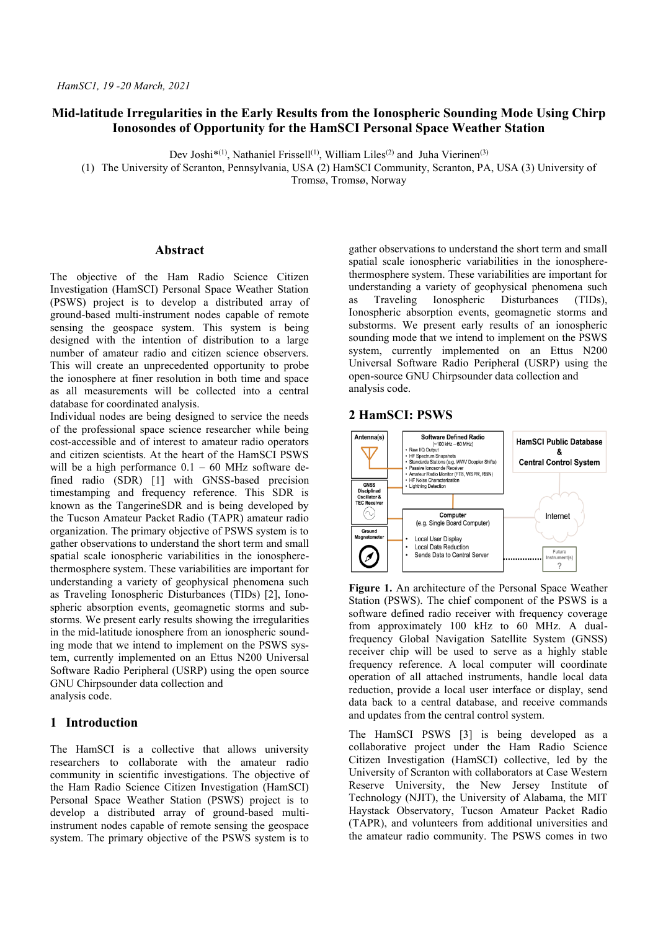# **Mid-latitude Irregularities in the Early Results from the Ionospheric Sounding Mode Using Chirp Ionosondes of Opportunity for the HamSCI Personal Space Weather Station**

Dev Joshi<sup>\*(1)</sup>, Nathaniel Frissell<sup>(1)</sup>, William Liles<sup>(2)</sup> and Juha Vierinen<sup>(3)</sup>

(1) The University of Scranton, Pennsylvania, USA (2) HamSCI Community, Scranton, PA, USA (3) University of Tromsø, Tromsø, Norway

### **Abstract**

The objective of the Ham Radio Science Citizen Investigation (HamSCI) Personal Space Weather Station (PSWS) project is to develop a distributed array of ground-based multi-instrument nodes capable of remote sensing the geospace system. This system is being designed with the intention of distribution to a large number of amateur radio and citizen science observers. This will create an unprecedented opportunity to probe the ionosphere at finer resolution in both time and space as all measurements will be collected into a central database for coordinated analysis.

Individual nodes are being designed to service the needs of the professional space science researcher while being cost-accessible and of interest to amateur radio operators and citizen scientists. At the heart of the HamSCI PSWS will be a high performance  $0.1 - 60$  MHz software defined radio (SDR) [1] with GNSS-based precision timestamping and frequency reference. This SDR is known as the TangerineSDR and is being developed by the Tucson Amateur Packet Radio (TAPR) amateur radio organization. The primary objective of PSWS system is to gather observations to understand the short term and small spatial scale ionospheric variabilities in the ionospherethermosphere system. These variabilities are important for understanding a variety of geophysical phenomena such as Traveling Ionospheric Disturbances (TIDs) [2], Ionospheric absorption events, geomagnetic storms and substorms. We present early results showing the irregularities in the mid-latitude ionosphere from an ionospheric sounding mode that we intend to implement on the PSWS system, currently implemented on an Ettus N200 Universal Software Radio Peripheral (USRP) using the open source GNU Chirpsounder data collection and analysis code.

## **1 Introduction**

The HamSCI is a collective that allows university researchers to collaborate with the amateur radio community in scientific investigations. The objective of the Ham Radio Science Citizen Investigation (HamSCI) Personal Space Weather Station (PSWS) project is to develop a distributed array of ground-based multiinstrument nodes capable of remote sensing the geospace system. The primary objective of the PSWS system is to gather observations to understand the short term and small spatial scale ionospheric variabilities in the ionospherethermosphere system. These variabilities are important for understanding a variety of geophysical phenomena such as Traveling Ionospheric Disturbances (TIDs), Ionospheric absorption events, geomagnetic storms and substorms. We present early results of an ionospheric sounding mode that we intend to implement on the PSWS system, currently implemented on an Ettus N200 Universal Software Radio Peripheral (USRP) using the open-source GNU Chirpsounder data collection and analysis code.

### **2 HamSCI: PSWS**



**Figure 1.** An architecture of the Personal Space Weather Station (PSWS). The chief component of the PSWS is a software defined radio receiver with frequency coverage from approximately 100 kHz to 60 MHz. A dualfrequency Global Navigation Satellite System (GNSS) receiver chip will be used to serve as a highly stable frequency reference. A local computer will coordinate operation of all attached instruments, handle local data reduction, provide a local user interface or display, send data back to a central database, and receive commands and updates from the central control system.

The HamSCI PSWS [3] is being developed as a collaborative project under the Ham Radio Science Citizen Investigation (HamSCI) collective, led by the University of Scranton with collaborators at Case Western Reserve University, the New Jersey Institute of Technology (NJIT), the University of Alabama, the MIT Haystack Observatory, Tucson Amateur Packet Radio (TAPR), and volunteers from additional universities and the amateur radio community. The PSWS comes in two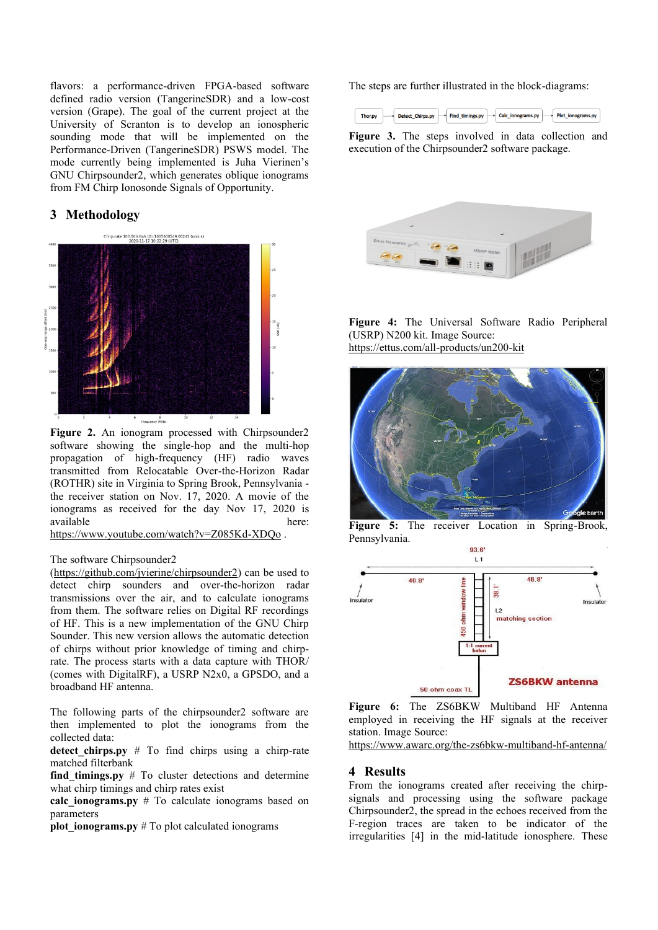flavors: a performance-driven FPGA-based software defined radio version (TangerineSDR) and a low-cost version (Grape). The goal of the current project at the University of Scranton is to develop an ionospheric sounding mode that will be implemented on the Performance-Driven (TangerineSDR) PSWS model. The mode currently being implemented is Juha Vierinen's GNU Chirpsounder2, which generates oblique ionograms from FM Chirp Ionosonde Signals of Opportunity.

# **3 Methodology**



Figure 2. An ionogram processed with Chirpsounder2 software showing the single-hop and the multi-hop propagation of high-frequency (HF) radio waves transmitted from Relocatable Over-the-Horizon Radar (ROTHR) site in Virginia to Spring Brook, Pennsylvania the receiver station on Nov. 17, 2020. A movie of the ionograms as received for the day Nov 17, 2020 is available here:

<https://www.youtube.com/watch?v=Z085Kd-XDQo> .

#### The software Chirpsounder2

[\(https://github.com/jvierine/chirpsounder2\)](https://github.com/jvierine/chirpsounder2) can be used to detect chirp sounders and over-the-horizon radar transmissions over the air, and to calculate ionograms from them. The software relies on Digital RF recordings of HF. This is a new implementation of the GNU Chirp Sounder. This new version allows the automatic detection of chirps without prior knowledge of timing and chirprate. The process starts with a data capture with THOR/ (comes with DigitalRF), a USRP N2x0, a GPSDO, and a broadband HF antenna.

The following parts of the chirpsounder2 software are then implemented to plot the ionograms from the collected data:

**detect chirps.py**  $#$  To find chirps using a chirp-rate matched filterbank

**find timings.py**  $#$  To cluster detections and determine what chirp timings and chirp rates exist

**calc\_ionograms.py** # To calculate ionograms based on parameters

**plot** ionograms.py  $#$  To plot calculated ionograms

The steps are further illustrated in the block-diagrams:



**Figure 3.** The steps involved in data collection and execution of the Chirpsounder2 software package.



#### **Figure 4:** The Universal Software Radio Peripheral (USRP) N200 kit. Image Source: <https://ettus.com/all-products/un200-kit>



Figure 5: The receiver Location in Spring-Brook, Pennsylvania.  $93.6'$ 



**Figure 6:** The ZS6BKW Multiband HF Antenna employed in receiving the HF signals at the receiver station. Image Source:

https://www.awarc.org/the-zs6bkw-multiband-hf-antenna/

### **4 Results**

From the ionograms created after receiving the chirpsignals and processing using the software package Chirpsounder2, the spread in the echoes received from the F-region traces are taken to be indicator of the irregularities [4] in the mid-latitude ionosphere. These